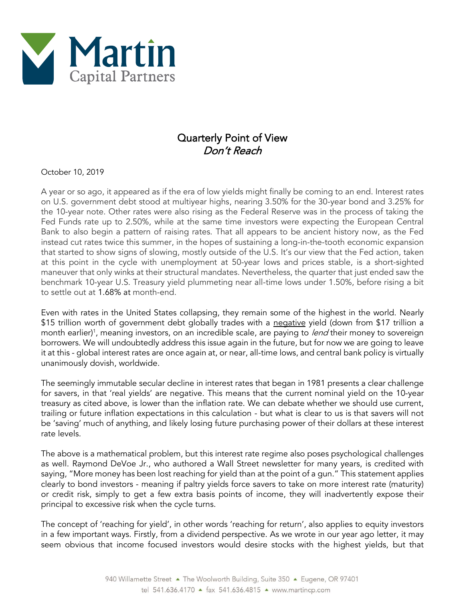

## Quarterly Point of View Don't Reach

October 10, 2019

A year or so ago, it appeared as if the era of low yields might finally be coming to an end. Interest rates on U.S. government debt stood at multiyear highs, nearing 3.50% for the 30-year bond and 3.25% for the 10-year note. Other rates were also rising as the Federal Reserve was in the process of taking the Fed Funds rate up to 2.50%, while at the same time investors were expecting the European Central Bank to also begin a pattern of raising rates. That all appears to be ancient history now, as the Fed instead cut rates twice this summer, in the hopes of sustaining a long-in-the-tooth economic expansion that started to show signs of slowing, mostly outside of the U.S. It's our view that the Fed action, taken at this point in the cycle with unemployment at 50-year lows and prices stable, is a short-sighted maneuver that only winks at their structural mandates. Nevertheless, the quarter that just ended saw the benchmark 10-year U.S. Treasury yield plummeting near all-time lows under 1.50%, before rising a bit to settle out at 1.68% at month-end.

Even with rates in the United States collapsing, they remain some of the highest in the world. Nearly \$15 trillion worth of government debt globally trades with a negative yield (down from \$17 trillion a month earlier)<sup>1</sup>, meaning investors, on an incredible scale, are paying to *lend* their money to sovereign borrowers. We will undoubtedly address this issue again in the future, but for now we are going to leave it at this - global interest rates are once again at, or near, all-time lows, and central bank policy is virtually unanimously dovish, worldwide.

The seemingly immutable secular decline in interest rates that began in 1981 presents a clear challenge for savers, in that 'real yields' are negative. This means that the current nominal yield on the 10-year treasury as cited above, is lower than the inflation rate. We can debate whether we should use current, trailing or future inflation expectations in this calculation - but what is clear to us is that savers will not be 'saving' much of anything, and likely losing future purchasing power of their dollars at these interest rate levels.

The above is a mathematical problem, but this interest rate regime also poses psychological challenges as well. Raymond DeVoe Jr., who authored a Wall Street newsletter for many years, is credited with saying, "More money has been lost reaching for yield than at the point of a gun." This statement applies clearly to bond investors - meaning if paltry yields force savers to take on more interest rate (maturity) or credit risk, simply to get a few extra basis points of income, they will inadvertently expose their principal to excessive risk when the cycle turns.

The concept of 'reaching for yield', in other words 'reaching for return', also applies to equity investors in a few important ways. Firstly, from a dividend perspective. As we wrote in our year ago letter, it may seem obvious that income focused investors would desire stocks with the highest yields, but that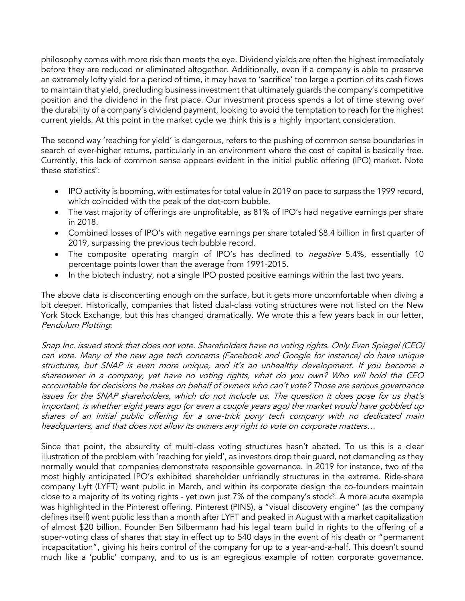philosophy comes with more risk than meets the eye. Dividend yields are often the highest immediately before they are reduced or eliminated altogether. Additionally, even if a company is able to preserve an extremely lofty yield for a period of time, it may have to 'sacrifice' too large a portion of its cash flows to maintain that yield, precluding business investment that ultimately guards the company's competitive position and the dividend in the first place. Our investment process spends a lot of time stewing over the durability of a company's dividend payment, looking to avoid the temptation to reach for the highest current yields. At this point in the market cycle we think this is a highly important consideration.

The second way 'reaching for yield' is dangerous, refers to the pushing of common sense boundaries in search of ever-higher returns, particularly in an environment where the cost of capital is basically free. Currently, this lack of common sense appears evident in the initial public offering (IPO) market. Note these statistics<sup>2</sup>:

- IPO activity is booming, with estimates for total value in 2019 on pace to surpass the 1999 record, which coincided with the peak of the dot-com bubble.
- The vast majority of offerings are unprofitable, as 81% of IPO's had negative earnings per share in 2018.
- Combined losses of IPO's with negative earnings per share totaled \$8.4 billion in first quarter of 2019, surpassing the previous tech bubble record.
- The composite operating margin of IPO's has declined to *negative* 5.4%, essentially 10 percentage points lower than the average from 1991-2015.
- In the biotech industry, not a single IPO posted positive earnings within the last two years.

The above data is disconcerting enough on the surface, but it gets more uncomfortable when diving a bit deeper. Historically, companies that listed dual-class voting structures were not listed on the New York Stock Exchange, but this has changed dramatically. We wrote this a few years back in our letter, Pendulum Plotting:

Snap Inc. issued stock that does not vote. Shareholders have no voting rights. Only Evan Spiegel (CEO) can vote. Many of the new age tech concerns (Facebook and Google for instance) do have unique structures, but SNAP is even more unique, and it's an unhealthy development. If you become a shareowner in a company, yet have no voting rights, what do you own? Who will hold the CEO accountable for decisions he makes on behalf of owners who can't vote? Those are serious governance issues for the SNAP shareholders, which do not include us. The question it does pose for us that's important, is whether eight years ago (or even a couple years ago) the market would have gobbled up shares of an initial public offering for a one-trick pony tech company with no dedicated main headquarters, and that does not allow its owners any right to vote on corporate matters…

Since that point, the absurdity of multi-class voting structures hasn't abated. To us this is a clear illustration of the problem with 'reaching for yield', as investors drop their guard, not demanding as they normally would that companies demonstrate responsible governance. In 2019 for instance, two of the most highly anticipated IPO's exhibited shareholder unfriendly structures in the extreme. Ride-share company Lyft (LYFT) went public in March, and within its corporate design the co-founders maintain close to a majority of its voting rights - yet own just 7% of the company's stock $^3$ . A more acute example was highlighted in the Pinterest offering. Pinterest (PINS), a "visual discovery engine" (as the company defines itself) went public less than a month after LYFT and peaked in August with a market capitalization of almost \$20 billion. Founder Ben Silbermann had his legal team build in rights to the offering of a super-voting class of shares that stay in effect up to 540 days in the event of his death or "permanent incapacitation", giving his heirs control of the company for up to a year-and-a-half. This doesn't sound much like a 'public' company, and to us is an egregious example of rotten corporate governance.